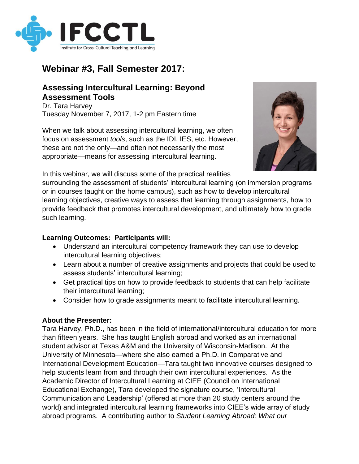

## **Webinar #3, Fall Semester 2017:**

## **Assessing Intercultural Learning: Beyond Assessment Tools**

Dr. Tara Harvey Tuesday November 7, 2017, 1-2 pm Eastern time

When we talk about assessing intercultural learning, we often focus on assessment *tools*, such as the IDI, IES, etc. However, these are not the only—and often not necessarily the most appropriate—means for assessing intercultural learning.



In this webinar, we will discuss some of the practical realities

surrounding the assessment of students' intercultural learning (on immersion programs or in courses taught on the home campus), such as how to develop intercultural learning objectives, creative ways to assess that learning through assignments, how to provide feedback that promotes intercultural development, and ultimately how to grade such learning.

## **Learning Outcomes: Participants will:**

- Understand an intercultural competency framework they can use to develop intercultural learning objectives;
- Learn about a number of creative assignments and projects that could be used to assess students' intercultural learning;
- Get practical tips on how to provide feedback to students that can help facilitate their intercultural learning;
- Consider how to grade assignments meant to facilitate intercultural learning.

## **About the Presenter:**

Tara Harvey, Ph.D., has been in the field of international/intercultural education for more than fifteen years. She has taught English abroad and worked as an international student advisor at Texas A&M and the University of Wisconsin-Madison. At the University of Minnesota—where she also earned a Ph.D. in Comparative and International Development Education—Tara taught two innovative courses designed to help students learn from and through their own intercultural experiences. As the Academic Director of Intercultural Learning at CIEE (Council on International Educational Exchange), Tara developed the signature course, 'Intercultural Communication and Leadership' (offered at more than 20 study centers around the world) and integrated intercultural learning frameworks into CIEE's wide array of study abroad programs. A contributing author to *Student Learning Abroad: What our*